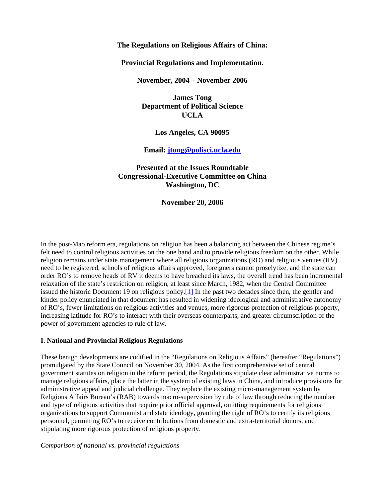# **The Regulations on Religious Affairs of China:**

**Provincial Regulations and Implementation.**

**November, 2004 – November 2006**

**James Tong Department of Political Science UCLA**

**Los Angeles, CA 90095**

**Email: jtong@polisci.ucla.edu**

**Presented at the Issues Roundtable Congressional-Executive Committee on China Washington, DC**

**November 20, 2006**

In the post-Mao reform era, regulations on religion has been a balancing act between the Chinese regime's felt need to control religious activities on the one hand and to provide religious freedom on the other. While religion remains under state management where all religious organizations (RO) and religious venues (RV) need to be registered, schools of religious affairs approved, foreigners cannot proselytize, and the state can order RO's to remove heads of RV it deems to have breached its laws, the overall trend has been incremental relaxation of the state's restriction on religion, at least since March, 1982, when the Central Committee issued the historic Document 19 on religious policy.[1] In the past two decades since then, the gentler and kinder policy enunciated in that document has resulted in widening ideological and administrative autonomy of RO's, fewer limitations on religious activities and venues, more rigorous protection of religious property, increasing latitude for RO's to interact with their overseas counterparts, and greater circumscription of the power of government agencies to rule of law.

## **I. National and Provincial Religious Regulations**

These benign developments are codified in the "Regulations on Religious Affairs" (hereafter "Regulations") promulgated by the State Council on November 30, 2004. As the first comprehensive set of central government statutes on religion in the reform period, the Regulations stipulate clear administrative norms to manage religious affairs, place the latter in the system of existing laws in China, and introduce provisions for administrative appeal and judicial challenge. They replace the existing micro-management system by Religious Affairs Bureau's (RAB) towards macro-supervision by rule of law through reducing the number and type of religious activities that require prior official approval, omitting requirements for religious organizations to support Communist and state ideology, granting the right of RO's to certify its religious personnel, permitting RO's to receive contributions from domestic and extra-territorial donors, and stipulating more rigorous protection of religious property.

*Comparison of national vs. provincial regulations*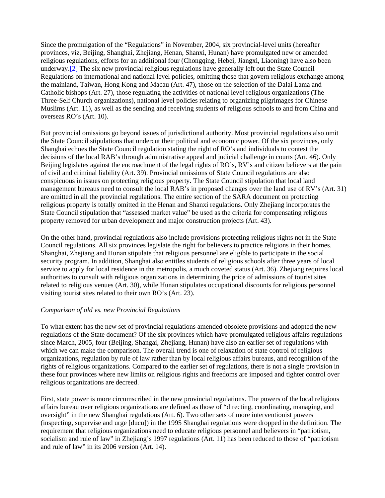Since the promulgation of the "Regulations" in November, 2004, six provincial-level units (hereafter provinces, viz, Beijing, Shanghai, Zhejiang, Henan, Shanxi, Hunan) have promulgated new or amended religious regulations, efforts for an additional four (Chongqing, Hebei, Jiangxi, Liaoning) have also been underway.[2] The six new provincial religious regulations have generally left out the State Council Regulations on international and national level policies, omitting those that govern religious exchange among the mainland, Taiwan, Hong Kong and Macau (Art. 47), those on the selection of the Dalai Lama and Catholic bishops (Art. 27), those regulating the activities of national level religious organizations (The Three-Self Church organizations), national level policies relating to organizing pilgrimages for Chinese Muslims (Art. 11), as well as the sending and receiving students of religious schools to and from China and overseas RO's (Art. 10).

But provincial omissions go beyond issues of jurisdictional authority. Most provincial regulations also omit the State Council stipulations that undercut their political and economic power. Of the six provinces, only Shanghai echoes the State Council regulation stating the right of RO's and individuals to contest the decisions of the local RAB's through administrative appeal and judicial challenge in courts (Art. 46). Only Beijing legislates against the encroachment of the legal rights of RO's, RV's and citizen believers at the pain of civil and criminal liability (Art. 39). Provincial omissions of State Council regulations are also conspicuous in issues on protecting religious property. The State Council stipulation that local land management bureaus need to consult the local RAB's in proposed changes over the land use of RV's (Art. 31) are omitted in all the provincial regulations. The entire section of the SARA document on protecting religious property is totally omitted in the Henan and Shanxi regulations. Only Zhejiang incorporates the State Council stipulation that "assessed market value" be used as the criteria for compensating religious property removed for urban development and major construction projects (Art. 43).

On the other hand, provincial regulations also include provisions protecting religious rights not in the State Council regulations. All six provinces legislate the right for believers to practice religions in their homes. Shanghai, Zhejiang and Hunan stipulate that religious personnel are eligible to participate in the social security program. In addition, Shanghai also entitles students of religious schools after three years of local service to apply for local residence in the metropolis, a much coveted status (Art. 36). Zhejiang requires local authorities to consult with religious organizations in determining the price of admissions of tourist sites related to religious venues (Art. 30), while Hunan stipulates occupational discounts for religious personnel visiting tourist sites related to their own RO's (Art. 23).

## *Comparison of old vs. new Provincial Regulations*

To what extent has the new set of provincial regulations amended obsolete provisions and adopted the new regulations of the State document? Of the six provinces which have promulgated religious affairs regulations since March, 2005, four (Beijing, Shangai, Zhejiang, Hunan) have also an earlier set of regulations with which we can make the comparison. The overall trend is one of relaxation of state control of religious organizations, regulation by rule of law rather than by local religious affairs bureaus, and recognition of the rights of religious organizations. Compared to the earlier set of regulations, there is not a single provision in these four provinces where new limits on religious rights and freedoms are imposed and tighter control over religious organizations are decreed.

First, state power is more circumscribed in the new provincial regulations. The powers of the local religious affairs bureau over religious organizations are defined as those of "directing, coordinating, managing, and oversight" in the new Shanghai regulations (Art. 6). Two other sets of more interventionist powers (inspecting, supervise and urge [ducu]) in the 1995 Shanghai regulations were dropped in the definition. The requirement that religious organizations need to educate religious personnel and believers in "patriotism, socialism and rule of law" in Zhejiang's 1997 regulations (Art. 11) has been reduced to those of "patriotism" and rule of law" in its 2006 version (Art. 14).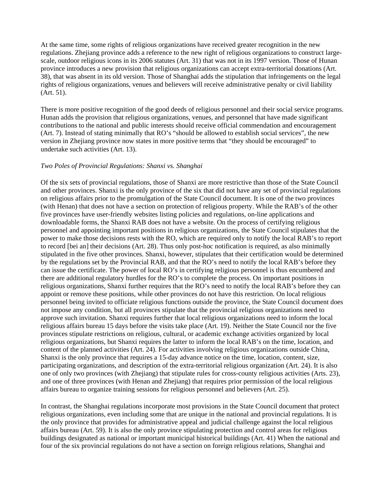At the same time, some rights of religious organizations have received greater recognition in the new regulations. Zhejiang province adds a reference to the new right of religious organizations to construct largescale, outdoor religious icons in its 2006 statutes (Art. 31) that was not in its 1997 version. Those of Hunan province introduces a new provision that religious organizations can accept extra-territorial donations (Art. 38), that was absent in its old version. Those of Shanghai adds the stipulation that infringements on the legal rights of religious organizations, venues and believers will receive administrative penalty or civil liability (Art. 51).

There is more positive recognition of the good deeds of religious personnel and their social service programs. Hunan adds the provision that religious organizations, venues, and personnel that have made significant contributions to the national and public interests should receive official commendation and encouragement (Art. 7). Instead of stating minimally that RO's "should be allowed to establish social services", the new version in Zhejiang province now states in more positive terms that "they should be encouraged" to undertake such activities (Art. 13).

#### *Two Poles of Provincial Regulations: Shanxi vs. Shanghai*

Of the six sets of provincial regulations, those of Shanxi are more restrictive than those of the State Council and other provinces. Shanxi is the only province of the six that did not have any set of provincial regulations on religious affairs prior to the promulgation of the State Council document. It is one of the two provinces (with Henan) that does not have a section on protection of religious property. While the RAB's of the other five provinces have user-friendly websites listing policies and regulations, on-line applications and downloadable forms, the Shanxi RAB does not have a website. On the process of certifying religious personnel and appointing important positions in religious organizations, the State Council stipulates that the power to make those decisions rests with the RO, which are required only to notify the local RAB's to report to record [bei an] their decisions (Art. 28). Thus only post-hoc notification is required, as also minimally stipulated in the five other provinces. Shanxi, however, stipulates that their certification would be determined by the regulations set by the Provincial RAB, and that the RO's need to notify the local RAB's before they can issue the certificate. The power of local RO's in certifying religious personnel is thus encumbered and there are additional regulatory hurdles for the RO's to complete the process. On important positions in religious organizations, Shanxi further requires that the RO's need to notify the local RAB's before they can appoint or remove these positions, while other provinces do not have this restriction. On local religious personnel being invited to officiate religious functions outside the province, the State Council document does not impose any condition, but all provinces stipulate that the provincial religious organizations need to approve such invitation. Shanxi requires further that local religious organizations need to inform the local religious affairs bureau 15 days before the visits take place (Art. 19). Neither the State Council nor the five provinces stipulate restrictions on religious, cultural, or academic exchange activities organized by local religious organizations, but Shanxi requires the latter to inform the local RAB's on the time, location, and content of the planned activities (Art. 24). For activities involving religious organizations outside China, Shanxi is the only province that requires a 15-day advance notice on the time, location, content, size, participating organizations, and description of the extra-territorial religious organization (Art. 24). It is also one of only two provinces (with Zhejiang) that stipulate rules for cross-county religious activities (Arts. 23), and one of three provinces (with Henan and Zhejiang) that requires prior permission of the local religious affairs bureau to organize training sessions for religious personnel and believers (Art. 25).

In contrast, the Shanghai regulations incorporate most provisions in the State Council document that protect religious organizations, even including some that are unique in the national and provincial regulations. It is the only province that provides for administrative appeal and judicial challenge against the local religious affairs bureau (Art. 59). It is also the only province stipulating protection and control areas for religious buildings designated as national or important municipal historical buildings (Art. 41) When the national and four of the six provincial regulations do not have a section on foreign religious relations, Shanghai and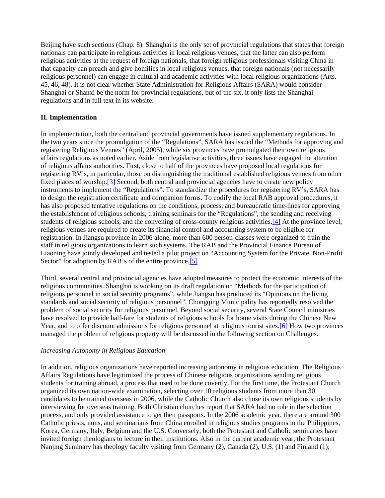Beijing have such sections (Chap. 8). Shanghai is the only set of provincial regulations that states that foreign nationals can participate in religious activities in local religious venues, that the latter can also perform religious activities at the request of foreign nationals, that foreign religious professionals visiting China in that capacity can preach and give homilies in local religious venues, that foreign nationals (not necessarily religious personnel) can engage in cultural and academic activities with local religious organizations (Arts. 45, 46, 48). It is not clear whether State Administration for Religious Affairs (SARA) would consider Shanghai or Shanxi be the norm for provincial regulations, but of the six, it only lists the Shanghai regulations and in full text in its website.

# **II. Implementation**

In implementation, both the central and provincial governments have issued supplementary regulations. In the two years since the promulgation of the "Regulations", SARA has issued the "Methods for approving and registering Religious Venues" (April, 2005), while six provinces have promulgated their own religious affairs regulations as noted earlier. Aside from legislative activities, three issues have engaged the attention of religious affairs authorities. First, close to half of the provinces have proposed local regulations for registering RV's, in particular, those on distinguishing the traditional established religious venues from other fixed places of worship.<sup>[3]</sup> Second, both central and provincial agencies have to create new policy instruments to implement the "Regulations". To standardize the procedures for registering RV's, SARA has to design the registration certificate and companion forms. To codify the local RAB approval procedures, it has also proposed tentative regulations on the conditions, process, and bureaucratic time-lines for approving the establishment of religious schools, training seminars for the "Regulations", the sending and receiving students of religious schools, and the convening of cross-county religious activities.[4] At the province level, religious venues are required to create its financial control and accounting system to be eligible for registration. In Jiangsu province in 2006 alone, more than 600 person-classes were organized to train the staff in religious organizations to learn such systems. The RAB and the Provincial Finance Bureau of Liaoning have jointly developed and tested a pilot project on "Accounting System for the Private, Non-Profit Sector" for adoption by RAB's of the entire province.[5]

Third, several central and provincial agencies have adopted measures to protect the economic interests of the religious communities. Shanghai is working on its draft regulation on "Methods for the participation of religious personnel in social security programs", while Jiangsu has produced its "Opinions on the living standards and social security of religious personnel". Chongqing Municipality has reportedly resolved the problem of social security for religious personnel. Beyond social security, several State Council ministries have resolved to provide half-fare for students of religious schools for home visits during the Chinese New Year, and to offer discount admissions for religious personnel at religious tourist sites.[6] How two provinces managed the problem of religious property will be discussed in the following section on Challenges.

## *Increasing Autonomy in Religious Education*

In addition, religious organizations have reported increasing autonomy in religious education. The Religious Affairs Regulations have legitimized the process of Chinese religious organizations sending religious students for training abroad, a process that used to be done covertly. For the first time, the Protestant Church organized its own nation-wide examination, selecting over 10 religious students from more than 30 candidates to be trained overseas in 2006, while the Catholic Church also chose its own religious students by interviewing for overseas training. Both Christian churches report that SARA had no role in the selection process, and only provided assistance to get their passports. In the 2006 academic year, there are around 300 Catholic priests, nuns, and seminarians from China enrolled in religious studies programs in the Philippines, Korea, Germany, Italy, Belgium and the U.S. Conversely, both the Protestant and Catholic seminaries have invited foreign theologians to lecture in their institutions. Also in the current academic year, the Protestant Nanjing Seminary has theology faculty visiting from Germany (2), Canada (2), U.S. (1) and Finland (1);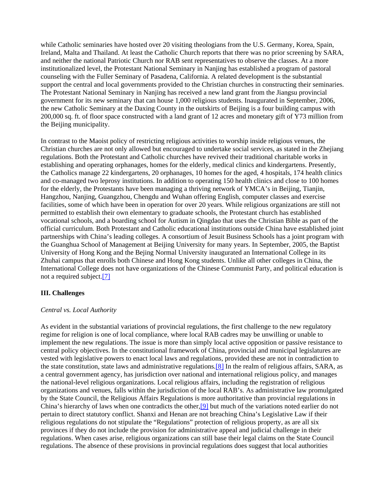while Catholic seminaries have hosted over 20 visiting theologians from the U.S. Germany, Korea, Spain, Ireland, Malta and Thailand. At least the Catholic Church reports that there was no prior screening by SARA, and neither the national Patriotic Church nor RAB sent representatives to observe the classes. At a more institutionalized level, the Protestant National Seminary in Nanjing has established a program of pastoral counseling with the Fuller Seminary of Pasadena, California. A related development is the substantial support the central and local governments provided to the Christian churches in constructing their seminaries. The Protestant National Seminary in Nanjing has received a new land grant from the Jiangsu provincial government for its new seminary that can house 1,000 religious students. Inaugurated in September, 2006, the new Catholic Seminary at the Daxing County in the outskirts of Beijing is a four building campus with 200,000 sq. ft. of floor space constructed with a land grant of 12 acres and monetary gift of Y73 million from the Beijing municipality.

In contrast to the Maoist policy of restricting religious activities to worship inside religious venues, the Christian churches are not only allowed but encouraged to undertake social services, as stated in the Zhejiang regulations. Both the Protestant and Catholic churches have revived their traditional charitable works in establishing and operating orphanages, homes for the elderly, medical clinics and kindergartens. Presently, the Catholics manage 22 kindergartens, 20 orphanages, 10 homes for the aged, 4 hospitals, 174 health clinics and co-managed two leprosy institutions. In addition to operating 150 health clinics and close to 100 homes for the elderly, the Protestants have been managing a thriving network of YMCA's in Beijing, Tianjin, Hangzhou, Nanjing, Guangzhou, Chengdu and Wuhan offering English, computer classes and exercise facilities, some of which have been in operation for over 20 years. While religious organizations are still not permitted to establish their own elementary to graduate schools, the Protestant church has established vocational schools, and a boarding school for Autism in Qingdao that uses the Christian Bible as part of the official curriculum. Both Protestant and Catholic educational institutions outside China have established joint partnerships with China's leading colleges. A consortium of Jesuit Business Schools has a joint program with the Guanghua School of Management at Beijing University for many years. In September, 2005, the Baptist University of Hong Kong and the Bejing Normal University inaugurated an International College in its Zhuhai campus that enrolls both Chinese and Hong Kong students. Unlike all other colleges in China, the International College does not have organizations of the Chinese Communist Party, and political education is not a required subject.[7]

## **III. Challenges**

#### *Central vs. Local Authority*

As evident in the substantial variations of provincial regulations, the first challenge to the new regulatory regime for religion is one of local compliance, where local RAB cadres may be unwilling or unable to implement the new regulations. The issue is more than simply local active opposition or passive resistance to central policy objectives. In the constitutional framework of China, provincial and municipal legislatures are vested with legislative powers to enact local laws and regulations, provided these are not in contradiction to the state constitution, state laws and administrative regulations.[8] In the realm of religious affairs, SARA, as a central government agency, has jurisdiction over national and international religious policy, and manages the national-level religious organizations. Local religious affairs, including the registration of religious organizations and venues, falls within the jurisdiction of the local RAB's. As administrative law promulgated by the State Council, the Religious Affairs Regulations is more authoritative than provincial regulations in China's hierarchy of laws when one contradicts the other,[9] but much of the variations noted earlier do not pertain to direct statutory conflict. Shanxi and Henan are not breaching China's Legislative Law if their religious regulations do not stipulate the "Regulations" protection of religious property, as are all six provinces if they do not include the provision for administrative appeal and judicial challenge in their regulations. When cases arise, religious organizations can still base their legal claims on the State Council regulations. The absence of these provisions in provincial regulations does suggest that local authorities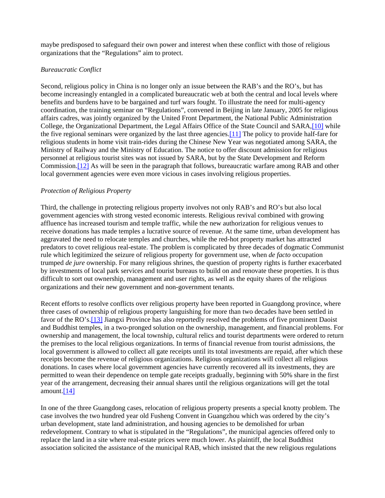maybe predisposed to safeguard their own power and interest when these conflict with those of religious organizations that the "Regulations" aim to protect.

#### *Bureaucratic Conflict*

Second, religious policy in China is no longer only an issue between the RAB's and the RO's, but has become increasingly entangled in a complicated bureaucratic web at both the central and local levels where benefits and burdens have to be bargained and turf wars fought. To illustrate the need for multi-agency coordination, the training seminar on "Regulations", convened in Beijing in late January, 2005 for religious affairs cadres, was jointly organized by the United Front Department, the National Public Administration College, the Organizational Department, the Legal Affairs Office of the State Council and SARA,[10] while the five regional seminars were organized by the last three agencies.[11] The policy to provide half-fare for religious students in home visit train-rides during the Chinese New Year was negotiated among SARA, the Ministry of Railway and the Ministry of Education. The notice to offer discount admission for religious personnel at religious tourist sites was not issued by SARA, but by the State Development and Reform Commission.[12] As will be seen in the paragraph that follows, bureaucratic warfare among RAB and other local government agencies were even more vicious in cases involving religious properties.

#### *Protection of Religious Property*

Third, the challenge in protecting religious property involves not only RAB's and RO's but also local government agencies with strong vested economic interests. Religious revival combined with growing affluence has increased tourism and temple traffic, while the new authorization for religious venues to receive donations has made temples a lucrative source of revenue. At the same time, urban development has aggravated the need to relocate temples and churches, while the red-hot property market has attracted predators to covet religious real-estate. The problem is complicated by three decades of dogmatic Communist rule which legitimized the seizure of religious property for government use, when *de facto* occupation trumped *de jure* ownership. For many religious shrines, the question of property rights is further exacerbated by investments of local park services and tourist bureaus to build on and renovate these properties. It is thus difficult to sort out ownership, management and user rights, as well as the equity shares of the religious organizations and their new government and non-government tenants.

Recent efforts to resolve conflicts over religious property have been reported in Guangdong province, where three cases of ownership of religious property languishing for more than two decades have been settled in favor of the RO's.<sup>[13]</sup> Jiangxi Province has also reportedly resolved the problems of five prominent Daoist and Buddhist temples, in a two-pronged solution on the ownership, management, and financial problems. For ownership and management, the local township, cultural relics and tourist departments were ordered to return the premises to the local religious organizations. In terms of financial revenue from tourist admissions, the local government is allowed to collect all gate receipts until its total investments are repaid, after which these receipts become the revenue of religious organizations. Religious organizations will collect all religious donations. In cases where local government agencies have currently recovered all its investments, they are permitted to wean their dependence on temple gate receipts gradually, beginning with 50% share in the first year of the arrangement, decreasing their annual shares until the religious organizations will get the total amount. $[14]$ 

In one of the three Guangdong cases, relocation of religious property presents a special knotty problem. The case involves the two hundred year old Fusheng Convent in Guangzhou which was ordered by the city's urban development, state land administration, and housing agencies to be demolished for urban redevelopment. Contrary to what is stipulated in the "Regulations", the municipal agencies offered only to replace the land in a site where real-estate prices were much lower. As plaintiff, the local Buddhist association solicited the assistance of the municipal RAB, which insisted that the new religious regulations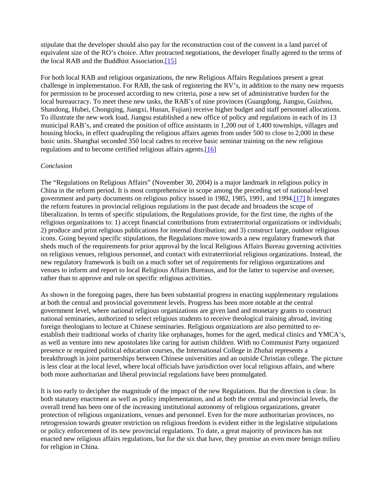stipulate that the developer should also pay for the reconstruction cost of the convent in a land parcel of equivalent size of the RO's choice. After protracted negotiations, the developer finally agreed to the terms of the local RAB and the Buddhist Association.[15]

For both local RAB and religious organizations, the new Religious Affairs Regulations present a great challenge in implementation. For RAB, the task of registering the RV's, in addition to the many new requests for permission to be processed according to new criteria, pose a new set of administrative burden for the local bureaucracy. To meet these new tasks, the RAB's of nine provinces (Guangdong, Jiangsu, Guizhou, Shandong, Hubei, Chongqing, Jiangxi, Hunan, Fujian) receive higher budget and staff personnel allocations. To illustrate the new work load, Jiangsu established a new office of policy and regulations in each of its 13 municipal RAB's, and created the position of office assistants in 1,200 out of 1,400 townships, villages and housing blocks, in effect quadrupling the religious affairs agents from under 500 to close to 2,000 in these basic units. Shanghai seconded 350 local cadres to receive basic seminar training on the new religious regulations and to become certified religious affairs agents.[16]

## *Conclusion*

The "Regulations on Religious Affairs" (November 30, 2004) is a major landmark in religious policy in China in the reform period. It is most comprehensive in scope among the preceding set of national-level government and party documents on religious policy issued in 1982, 1985, 1991, and 1994.[17] It integrates the reform features in provincial religious regulations in the past decade and broadens the scope of liberalization. In terms of specific stipulations, the Regulations provide, for the first time, the rights of the religious organizations to:  $\hat{1}$ ) accept financial contributions from extraterritorial organizations or individuals; 2) produce and print religious publications for internal distribution; and 3) construct large, outdoor religious icons. Going beyond specific stipulations, the Regulations move towards a new regulatory framework that sheds much of the requirements for prior approval by the local Religious Affairs Bureau governing activities on religious venues, religious personnel, and contact with extraterritorial religious organizations. Instead, the new regulatory framework is built on a much softer set of requirements for religious organizations and venues to inform and report to local Religious Affairs Bureaus, and for the latter to supervise and oversee, rather than to approve and rule on specific religious activities.

As shown in the foregoing pages, there has been substantial progress in enacting supplementary regulations at both the central and provincial government levels. Progress has been more notable at the central government level, where national religious organizations are given land and monetary grants to construct national seminaries, authorized to select religious students to receive theological training abroad, inviting foreign theologians to lecture at Chinese seminaries. Religious organizations are also permitted to reestablish their traditional works of charity like orphanages, homes for the aged, medical clinics and YMCA's, as well as venture into new apostolates like caring for autism children. With no Communist Party organized presence or required political education courses, the International College in Zhuhai represents a breakthrough in joint partnerships between Chinese universities and an outside Christian college. The picture is less clear at the local level, where local officials have jurisdiction over local religious affairs, and where both more authoritarian and liberal provincial regulations have been promulgated.

It is too early to decipher the magnitude of the impact of the new Regulations. But the direction is clear. In both statutory enactment as well as policy implementation, and at both the central and provincial levels, the overall trend has been one of the increasing institutional autonomy of religious organizations, greater protection of religious organizations, venues and personnel. Even for the more authoritarian provinces, no retrogression towards greater restriction on religious freedom is evident either in the legislative stipulations or policy enforcement of its new provincial regulations. To date, a great majority of provinces has not enacted new religious affairs regulations, but for the six that have, they promise an even more benign milieu for religion in China.